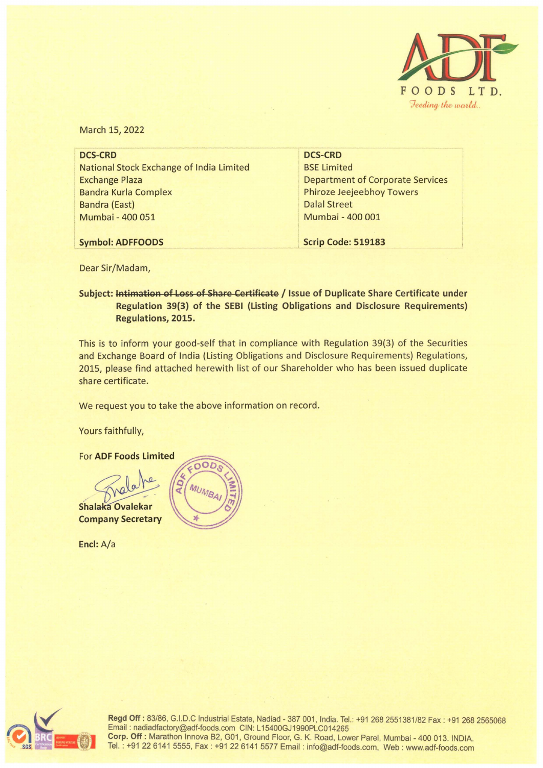

March 15, 2022

| <b>DCS-CRD</b>                          |
|-----------------------------------------|
| <b>BSE Limited</b>                      |
| <b>Department of Corporate Services</b> |
| <b>Phiroze Jeejeebhoy Towers</b>        |
| <b>Dalal Street</b>                     |
| Mumbai - 400 001                        |
|                                         |
| <b>Scrip Code: 519183</b>               |
|                                         |

Dear Sir/Madam,

## Subject: Intimation of Loss of Share Certificate / Issue of Duplicate Share Certificate under **Regulation 39(3) of the SEBI (Listing Obligations and Disclosure Requirements) Regulations, 2015.**

This is to inform your good-self that in compliance with Regulation 39(3) of the Securities and Exchange Board of India (Listing Obligations and Disclosure Requirements) Regulations, 2015, please find attached herewith list of our Shareholder who has been issued duplicate share certificate.

We request you to take the above information on record.

Yours faithfully,

For **ADF Foods Limited** 

Shalaka Ovalekar **Company Secretary** 

**Encl:** A/a





**Regd Off** : 83/86, G.I.D.C Industrial Estate, Nadiad - 387 001, India. Tel.: +91 268 2551381 /82 Fax : +91 268 2565068 Email: nadiadfactory@adf-foods.com CIN: L15400GJ1990PLC014265 **Corp. Off:** Marathon lnnova B2, G01, Ground Floor, G. K. Road, Lower Parel, Mumbai - 400 013. INDIA. Tel.: +91 22 6141 5555, Fax: +91 22 6141 5577 Email: info@adf-foods.com, Web: www.adf-foods.com